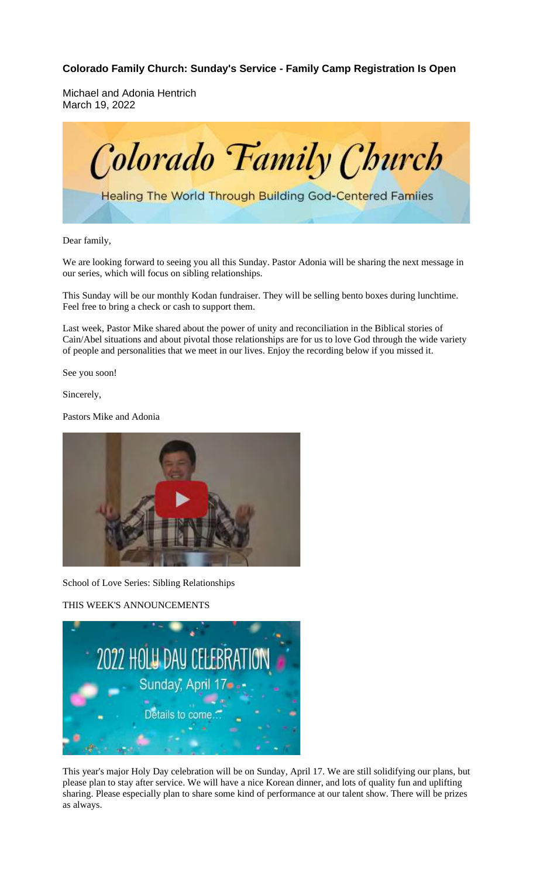## **Colorado Family Church: Sunday's Service - Family Camp Registration Is Open**

Michael and Adonia Hentrich March 19, 2022



Dear family,

We are looking forward to seeing you all this Sunday. Pastor Adonia will be sharing the next message in our series, which will focus on sibling relationships.

This Sunday will be our monthly Kodan fundraiser. They will be selling bento boxes during lunchtime. Feel free to bring a check or cash to support them.

Last week, Pastor Mike shared about the power of unity and reconciliation in the Biblical stories of Cain/Abel situations and about pivotal those relationships are for us to love God through the wide variety of people and personalities that we meet in our lives. Enjoy the recording below if you missed it.

See you soon!

Sincerely,

Pastors Mike and Adonia



School of Love Series: Sibling Relationships

## THIS WEEK'S ANNOUNCEMENTS



This year's major Holy Day celebration will be on Sunday, April 17. We are still solidifying our plans, but please plan to stay after service. We will have a nice Korean dinner, and lots of quality fun and uplifting sharing. Please especially plan to share some kind of performance at our talent show. There will be prizes as always.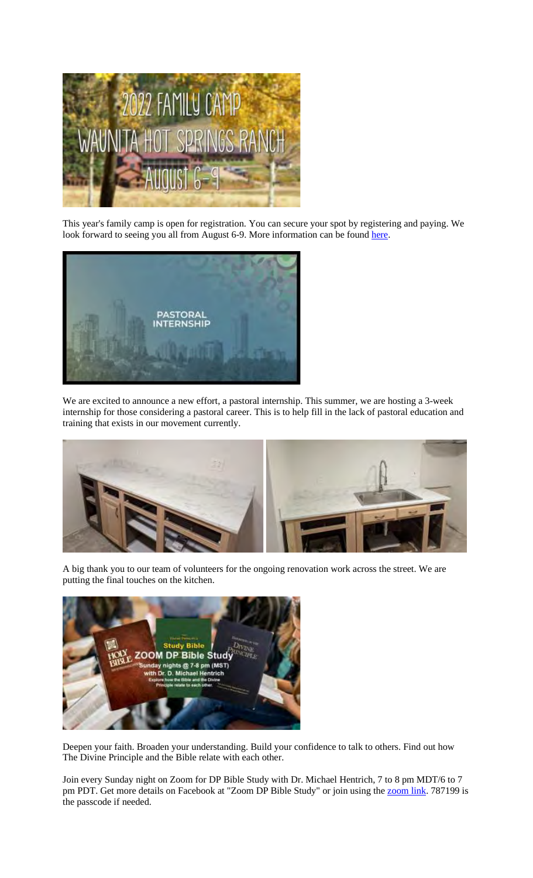

This year's family camp is open for registration. You can secure your spot by registering and paying. We look forward to seeing you all from August 6-9. More information can be found here.



We are excited to announce a new effort, a pastoral internship. This summer, we are hosting a 3-week internship for those considering a pastoral career. This is to help fill in the lack of pastoral education and training that exists in our movement currently.



A big thank you to our team of volunteers for the ongoing renovation work across the street. We are putting the final touches on the kitchen.



Deepen your faith. Broaden your understanding. Build your confidence to talk to others. Find out how The Divine Principle and the Bible relate with each other.

Join every Sunday night on Zoom for DP Bible Study with Dr. Michael Hentrich, 7 to 8 pm MDT/6 to 7 pm PDT. Get more details on Facebook at "Zoom DP Bible Study" or join using the zoom link. 787199 is the passcode if needed.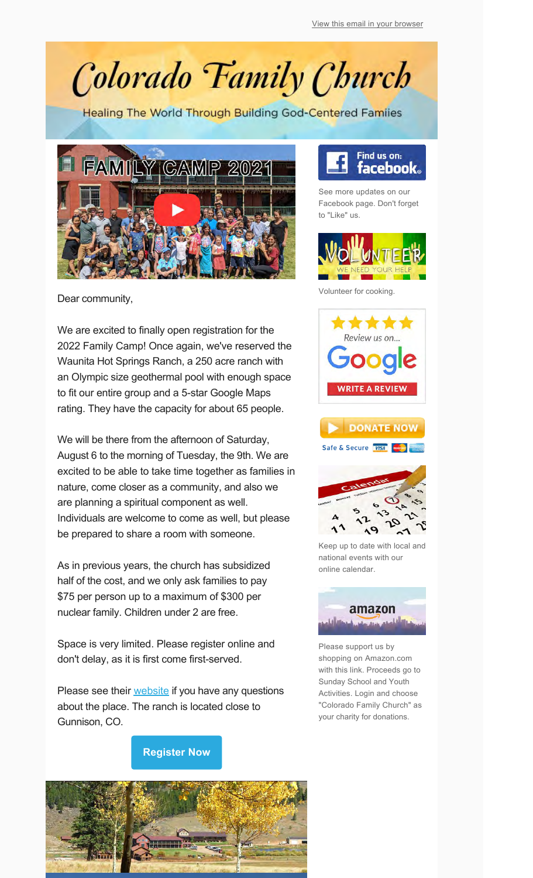

**Healing The World Through Building God-Centered Familes** 



Dear community,

We are excited to finally open registration for the 2022 Family Camp! Once again, we've reserved the Waunita Hot Springs Ranch, a 250 acre ranch with an Olympic size geothermal pool with enough space to fit our entire group and a 5-star Google Maps rating. They have the capacity for about 65 people.

We will be there from the afternoon of Saturday, August 6 to the morning of Tuesday, the 9th. We are excited to be able to take time together as families in nature, come closer as a community, and also we are planning a spiritual component as well. Individuals are welcome to come as well, but please be prepared to share a room with someone.

As in previous years, the church has subsidized half of the cost, and we only ask families to pay \$75 per person up to a maximum of \$300 per nuclear family. Children under 2 are free.

Space is very limited. Please register online and don't delay, as it is first come first-served.

Please see their website if you have any questions about the place. The ranch is located close to Gunnison, CO.

## **Register Now**





See more updates on our Facebook page. Don't forget to "Like" us.



Volunteer for cooking.



**DONATE NOW** Safe & Secure VISA Com



Keep up to date with local and national events with our online calendar.



Please support us by shopping on Amazon.com with this link. Proceeds go to Sunday School and Youth Activities. Login and choose "Colorado Family Church" as your charity for donations.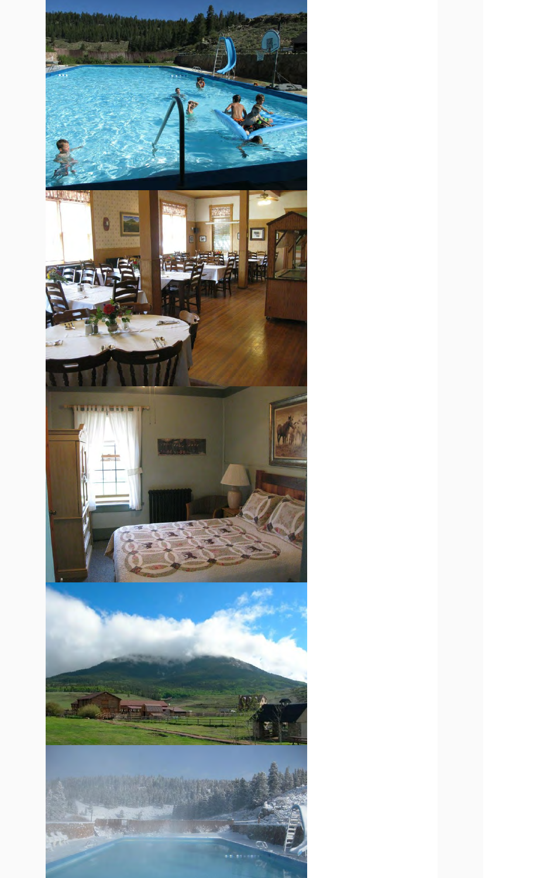